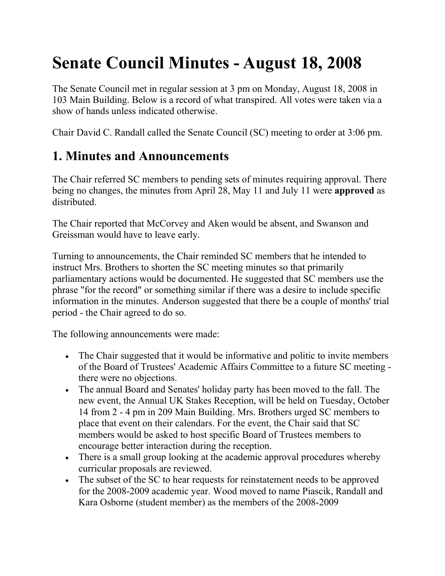# **Senate Council Minutes - August 18, 2008**

The Senate Council met in regular session at 3 pm on Monday, August 18, 2008 in 103 Main Building. Below is a record of what transpired. All votes were taken via a show of hands unless indicated otherwise.

Chair David C. Randall called the Senate Council (SC) meeting to order at 3:06 pm.

#### **1. Minutes and Announcements**

The Chair referred SC members to pending sets of minutes requiring approval. There being no changes, the minutes from April 28, May 11 and July 11 were **approved** as distributed.

The Chair reported that McCorvey and Aken would be absent, and Swanson and Greissman would have to leave early.

Turning to announcements, the Chair reminded SC members that he intended to instruct Mrs. Brothers to shorten the SC meeting minutes so that primarily parliamentary actions would be documented. He suggested that SC members use the phrase "for the record" or something similar if there was a desire to include specific information in the minutes. Anderson suggested that there be a couple of months' trial period - the Chair agreed to do so.

The following announcements were made:

- The Chair suggested that it would be informative and politic to invite members of the Board of Trustees' Academic Affairs Committee to a future SC meeting there were no objections.
- The annual Board and Senates' holiday party has been moved to the fall. The new event, the Annual UK Stakes Reception, will be held on Tuesday, October 14 from 2 - 4 pm in 209 Main Building. Mrs. Brothers urged SC members to place that event on their calendars. For the event, the Chair said that SC members would be asked to host specific Board of Trustees members to encourage better interaction during the reception.
- There is a small group looking at the academic approval procedures whereby curricular proposals are reviewed.
- The subset of the SC to hear requests for reinstatement needs to be approved for the 2008-2009 academic year. Wood moved to name Piascik, Randall and Kara Osborne (student member) as the members of the 2008-2009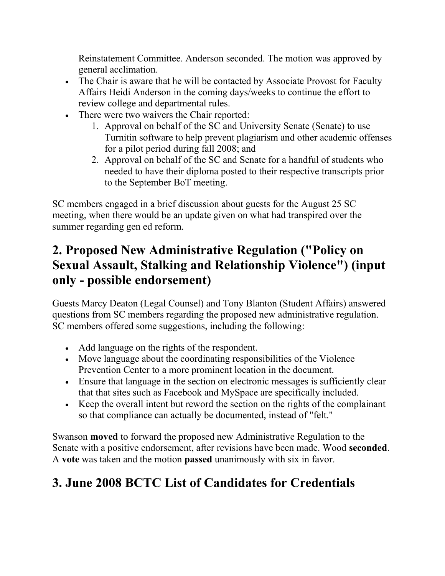Reinstatement Committee. Anderson seconded. The motion was approved by general acclimation.

- The Chair is aware that he will be contacted by Associate Provost for Faculty Affairs Heidi Anderson in the coming days/weeks to continue the effort to review college and departmental rules.
- There were two waivers the Chair reported:
	- 1. Approval on behalf of the SC and University Senate (Senate) to use Turnitin software to help prevent plagiarism and other academic offenses for a pilot period during fall 2008; and
	- 2. Approval on behalf of the SC and Senate for a handful of students who needed to have their diploma posted to their respective transcripts prior to the September BoT meeting.

SC members engaged in a brief discussion about guests for the August 25 SC meeting, when there would be an update given on what had transpired over the summer regarding gen ed reform.

#### **2. Proposed New Administrative Regulation ("Policy on Sexual Assault, Stalking and Relationship Violence") (input only - possible endorsement)**

Guests Marcy Deaton (Legal Counsel) and Tony Blanton (Student Affairs) answered questions from SC members regarding the proposed new administrative regulation. SC members offered some suggestions, including the following:

- Add language on the rights of the respondent.
- Move language about the coordinating responsibilities of the Violence Prevention Center to a more prominent location in the document.
- Ensure that language in the section on electronic messages is sufficiently clear that that sites such as Facebook and MySpace are specifically included.
- Keep the overall intent but reword the section on the rights of the complainant so that compliance can actually be documented, instead of "felt."

Swanson **moved** to forward the proposed new Administrative Regulation to the Senate with a positive endorsement, after revisions have been made. Wood **seconded**. A **vote** was taken and the motion **passed** unanimously with six in favor.

## **3. June 2008 BCTC List of Candidates for Credentials**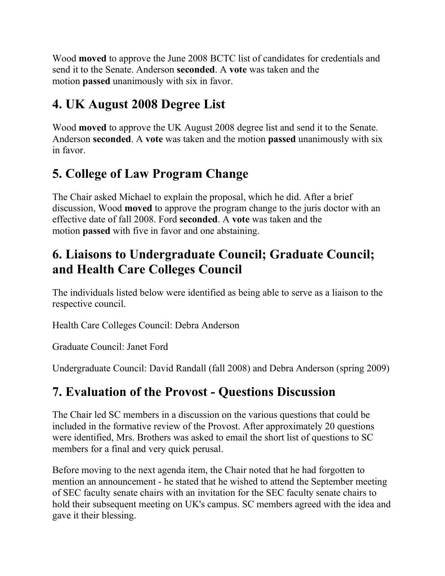Wood **moved** to approve the June 2008 BCTC list of candidates for credentials and send it to the Senate. Anderson **seconded**. A **vote** was taken and the motion **passed** unanimously with six in favor.

## **4. UK August 2008 Degree List**

Wood **moved** to approve the UK August 2008 degree list and send it to the Senate. Anderson **seconded**. A **vote** was taken and the motion **passed** unanimously with six in favor.

## **5. College of Law Program Change**

The Chair asked Michael to explain the proposal, which he did. After a brief discussion, Wood **moved** to approve the program change to the juris doctor with an effective date of fall 2008. Ford **seconded**. A **vote** was taken and the motion **passed** with five in favor and one abstaining.

#### **6. Liaisons to Undergraduate Council; Graduate Council; and Health Care Colleges Council**

The individuals listed below were identified as being able to serve as a liaison to the respective council.

Health Care Colleges Council: Debra Anderson

Graduate Council: Janet Ford

Undergraduate Council: David Randall (fall 2008) and Debra Anderson (spring 2009)

# **7. Evaluation of the Provost - Questions Discussion**

The Chair led SC members in a discussion on the various questions that could be included in the formative review of the Provost. After approximately 20 questions were identified, Mrs. Brothers was asked to email the short list of questions to SC members for a final and very quick perusal.

Before moving to the next agenda item, the Chair noted that he had forgotten to mention an announcement - he stated that he wished to attend the September meeting of SEC faculty senate chairs with an invitation for the SEC faculty senate chairs to hold their subsequent meeting on UK's campus. SC members agreed with the idea and gave it their blessing.